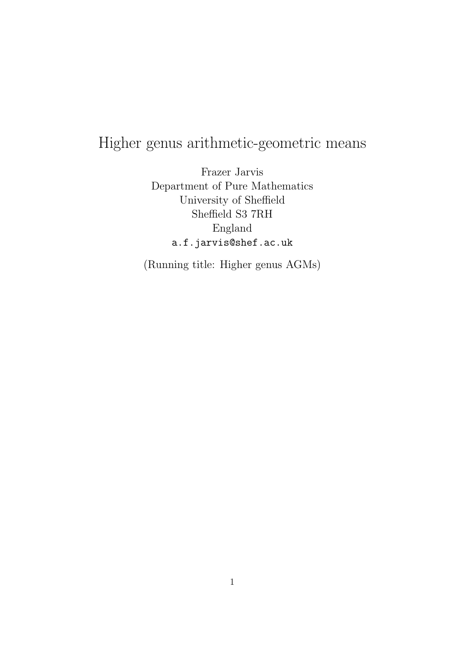# Higher genus arithmetic-geometric means

Frazer Jarvis Department of Pure Mathematics University of Sheffield Sheffield S3 7RH England a.f.jarvis@shef.ac.uk

(Running title: Higher genus AGMs)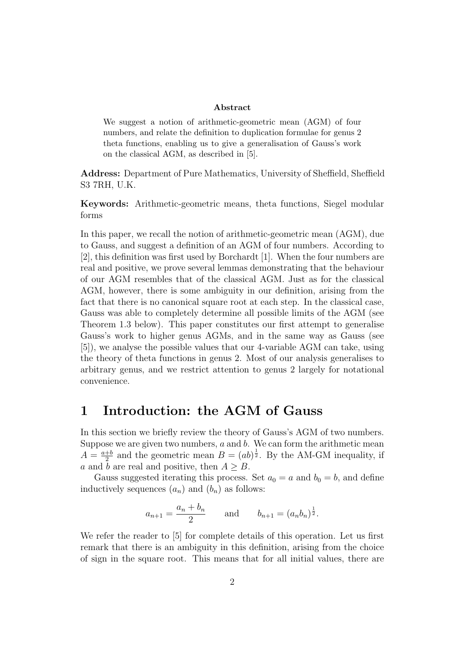#### Abstract

We suggest a notion of arithmetic-geometric mean (AGM) of four numbers, and relate the definition to duplication formulae for genus 2 theta functions, enabling us to give a generalisation of Gauss's work on the classical AGM, as described in [5].

Address: Department of Pure Mathematics, University of Sheffield, Sheffield S3 7RH, U.K.

Keywords: Arithmetic-geometric means, theta functions, Siegel modular forms

In this paper, we recall the notion of arithmetic-geometric mean (AGM), due to Gauss, and suggest a definition of an AGM of four numbers. According to [2], this definition was first used by Borchardt [1]. When the four numbers are real and positive, we prove several lemmas demonstrating that the behaviour of our AGM resembles that of the classical AGM. Just as for the classical AGM, however, there is some ambiguity in our definition, arising from the fact that there is no canonical square root at each step. In the classical case, Gauss was able to completely determine all possible limits of the AGM (see Theorem 1.3 below). This paper constitutes our first attempt to generalise Gauss's work to higher genus AGMs, and in the same way as Gauss (see [5]), we analyse the possible values that our 4-variable AGM can take, using the theory of theta functions in genus 2. Most of our analysis generalises to arbitrary genus, and we restrict attention to genus 2 largely for notational convenience.

## 1 Introduction: the AGM of Gauss

In this section we briefly review the theory of Gauss's AGM of two numbers. Suppose we are given two numbers,  $a$  and  $b$ . We can form the arithmetic mean  $A = \frac{a+b}{2}$  $\frac{1}{2}$  and the geometric mean  $B = (ab)^{\frac{1}{2}}$ . By the AM-GM inequality, if a and b are real and positive, then  $A \geq B$ .

Gauss suggested iterating this process. Set  $a_0 = a$  and  $b_0 = b$ , and define inductively sequences  $(a_n)$  and  $(b_n)$  as follows:

$$
a_{n+1} = \frac{a_n + b_n}{2}
$$
 and  $b_{n+1} = (a_n b_n)^{\frac{1}{2}}$ .

We refer the reader to [5] for complete details of this operation. Let us first remark that there is an ambiguity in this definition, arising from the choice of sign in the square root. This means that for all initial values, there are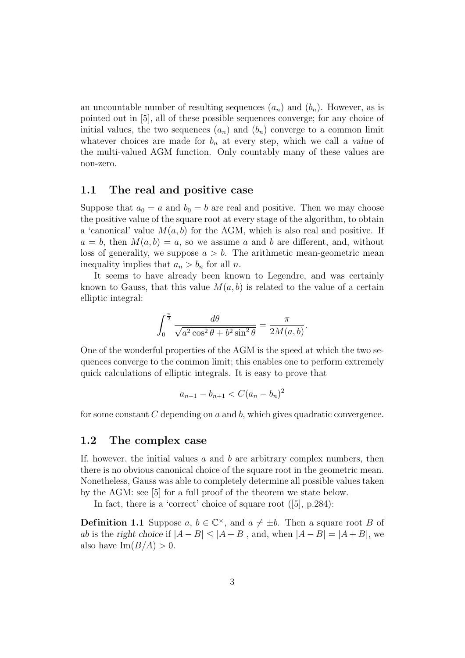an uncountable number of resulting sequences  $(a_n)$  and  $(b_n)$ . However, as is pointed out in [5], all of these possible sequences converge; for any choice of initial values, the two sequences  $(a_n)$  and  $(b_n)$  converge to a common limit whatever choices are made for  $b_n$  at every step, which we call a value of the multi-valued AGM function. Only countably many of these values are non-zero.

### 1.1 The real and positive case

Suppose that  $a_0 = a$  and  $b_0 = b$  are real and positive. Then we may choose the positive value of the square root at every stage of the algorithm, to obtain a 'canonical' value  $M(a, b)$  for the AGM, which is also real and positive. If  $a = b$ , then  $M(a, b) = a$ , so we assume a and b are different, and, without loss of generality, we suppose  $a > b$ . The arithmetic mean-geometric mean inequality implies that  $a_n > b_n$  for all n.

It seems to have already been known to Legendre, and was certainly known to Gauss, that this value  $M(a, b)$  is related to the value of a certain elliptic integral:

$$
\int_0^{\frac{\pi}{2}} \frac{d\theta}{\sqrt{a^2 \cos^2 \theta + b^2 \sin^2 \theta}} = \frac{\pi}{2M(a, b)}.
$$

One of the wonderful properties of the AGM is the speed at which the two sequences converge to the common limit; this enables one to perform extremely quick calculations of elliptic integrals. It is easy to prove that

$$
a_{n+1} - b_{n+1} < C(a_n - b_n)^2
$$

for some constant  $C$  depending on  $a$  and  $b$ , which gives quadratic convergence.

### 1.2 The complex case

If, however, the initial values  $a$  and  $b$  are arbitrary complex numbers, then there is no obvious canonical choice of the square root in the geometric mean. Nonetheless, Gauss was able to completely determine all possible values taken by the AGM: see [5] for a full proof of the theorem we state below.

In fact, there is a 'correct' choice of square root ([5], p.284):

**Definition 1.1** Suppose  $a, b \in \mathbb{C}^{\times}$ , and  $a \neq \pm b$ . Then a square root B of ab is the right choice if  $|A - B| \leq |A + B|$ , and, when  $|A - B| = |A + B|$ , we also have  $\text{Im}(B/A) > 0$ .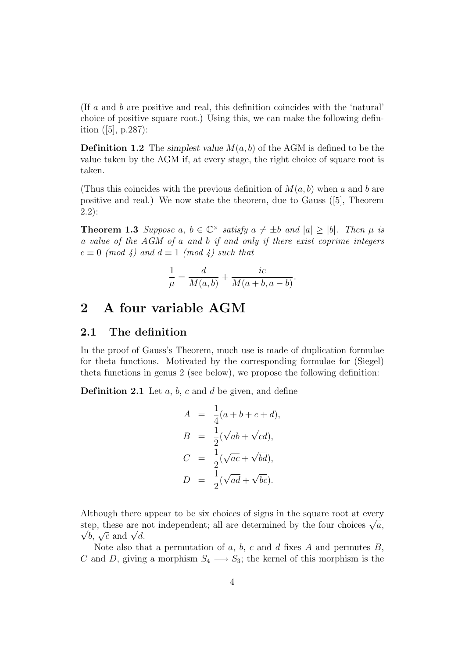(If a and b are positive and real, this definition coincides with the 'natural' choice of positive square root.) Using this, we can make the following definition  $([5], p.287)$ :

**Definition 1.2** The simplest value  $M(a, b)$  of the AGM is defined to be the value taken by the AGM if, at every stage, the right choice of square root is taken.

(Thus this coincides with the previous definition of  $M(a, b)$  when a and b are positive and real.) We now state the theorem, due to Gauss ([5], Theorem 2.2):

**Theorem 1.3** Suppose a,  $b \in \mathbb{C}^\times$  satisfy  $a \neq \pm b$  and  $|a| \geq |b|$ . Then  $\mu$  is a value of the AGM of a and b if and only if there exist coprime integers  $c \equiv 0 \pmod{4}$  and  $d \equiv 1 \pmod{4}$  such that

$$
\frac{1}{\mu} = \frac{d}{M(a,b)} + \frac{ic}{M(a+b, a-b)}.
$$

### 2 A four variable AGM

### 2.1 The definition

In the proof of Gauss's Theorem, much use is made of duplication formulae for theta functions. Motivated by the corresponding formulae for (Siegel) theta functions in genus 2 (see below), we propose the following definition:

**Definition 2.1** Let  $a, b, c$  and  $d$  be given, and define

$$
A = \frac{1}{4}(a+b+c+d),
$$
  
\n
$$
B = \frac{1}{2}(\sqrt{ab} + \sqrt{cd}),
$$
  
\n
$$
C = \frac{1}{2}(\sqrt{ac} + \sqrt{bd}),
$$
  
\n
$$
D = \frac{1}{2}(\sqrt{ad} + \sqrt{bc}).
$$

Although there appear to be six choices of signs in the square root at every Atthough there appear to be six choices of signs in the square root at every step, these are not independent; all are determined by the four choices  $\sqrt{a}$ , ep, these are n<br> $\overline{b}$ ,  $\sqrt{c}$  and  $\sqrt{d}$ .

Note also that a permutation of  $a, b, c$  and  $d$  fixes  $A$  and permutes  $B$ , C and D, giving a morphism  $S_4 \longrightarrow S_3$ ; the kernel of this morphism is the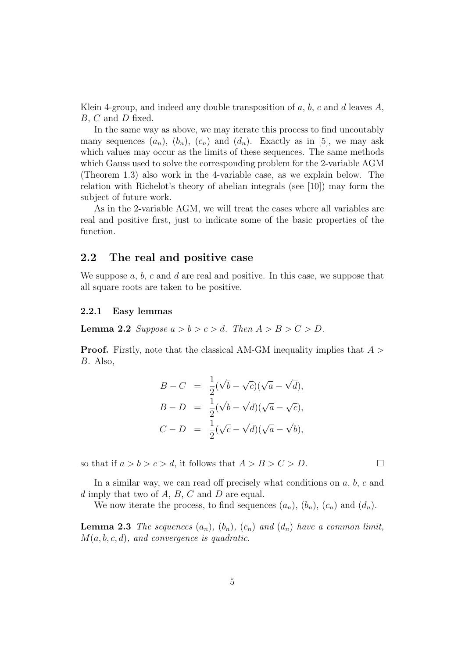Klein 4-group, and indeed any double transposition of a, b, c and d leaves A, B, C and D fixed.

In the same way as above, we may iterate this process to find uncoutably many sequences  $(a_n)$ ,  $(b_n)$ ,  $(c_n)$  and  $(d_n)$ . Exactly as in [5], we may ask which values may occur as the limits of these sequences. The same methods which Gauss used to solve the corresponding problem for the 2-variable AGM (Theorem 1.3) also work in the 4-variable case, as we explain below. The relation with Richelot's theory of abelian integrals (see [10]) may form the subject of future work.

As in the 2-variable AGM, we will treat the cases where all variables are real and positive first, just to indicate some of the basic properties of the function.

### 2.2 The real and positive case

We suppose  $a, b, c$  and d are real and positive. In this case, we suppose that all square roots are taken to be positive.

#### 2.2.1 Easy lemmas

**Lemma 2.2** Suppose  $a > b > c > d$ . Then  $A > B > C > D$ .

**Proof.** Firstly, note that the classical AM-GM inequality implies that  $A >$ B. Also,

$$
B - C = \frac{1}{2}(\sqrt{b} - \sqrt{c})(\sqrt{a} - \sqrt{d}),
$$
  
\n
$$
B - D = \frac{1}{2}(\sqrt{b} - \sqrt{d})(\sqrt{a} - \sqrt{c}),
$$
  
\n
$$
C - D = \frac{1}{2}(\sqrt{c} - \sqrt{d})(\sqrt{a} - \sqrt{b}),
$$

so that if  $a > b > c > d$ , it follows that  $A > B > C > D$ .

In a similar way, we can read off precisely what conditions on  $a, b, c$  and d imply that two of  $A, B, C$  and  $D$  are equal.

We now iterate the process, to find sequences  $(a_n)$ ,  $(b_n)$ ,  $(c_n)$  and  $(d_n)$ .

**Lemma 2.3** The sequences  $(a_n)$ ,  $(b_n)$ ,  $(c_n)$  and  $(d_n)$  have a common limit,  $M(a, b, c, d)$ , and convergence is quadratic.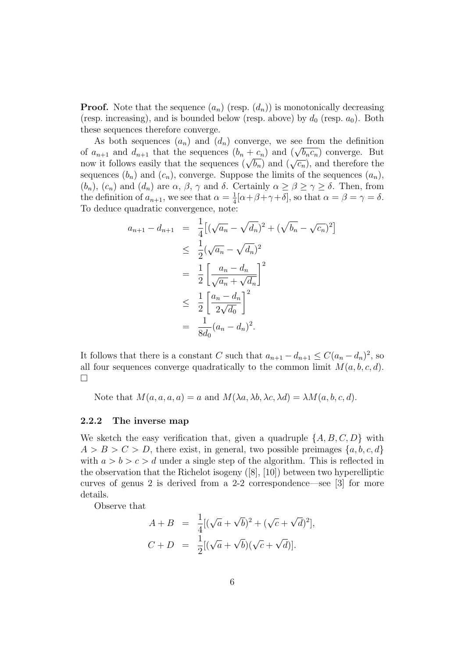**Proof.** Note that the sequence  $(a_n)$  (resp.  $(d_n)$ ) is monotonically decreasing (resp. increasing), and is bounded below (resp. above) by  $d_0$  (resp.  $a_0$ ). Both these sequences therefore converge.

As both sequences  $(a_n)$  and  $(d_n)$  converge, we see from the definition As both sequences  $(a_n)$  and  $(a_n)$  converge, we see from the definition<br>of  $a_{n+1}$  and  $d_{n+1}$  that the sequences  $(b_n + c_n)$  and  $(\sqrt{b_n c_n})$  converge. But or  $a_{n+1}$  and  $a_{n+1}$  that the sequences  $(b_n + c_n)$  and  $(\sqrt{b_n})$  converge. But now it follows easily that the sequences  $(\sqrt{b_n})$  and  $(\sqrt{c_n})$ , and therefore the sequences  $(b_n)$  and  $(c_n)$ , converge. Suppose the limits of the sequences  $(a_n)$ ,  $(b_n)$ ,  $(c_n)$  and  $(d_n)$  are  $\alpha$ ,  $\beta$ ,  $\gamma$  and  $\delta$ . Certainly  $\alpha \geq \beta \geq \gamma \geq \delta$ . Then, from the definition of  $a_{n+1}$ , we see that  $\alpha = \frac{1}{4}$  $\frac{1}{4}[\alpha + \beta + \gamma + \delta]$ , so that  $\alpha = \beta = \gamma = \delta$ . To deduce quadratic convergence, note:

$$
a_{n+1} - d_{n+1} = \frac{1}{4} [(\sqrt{a_n} - \sqrt{d_n})^2 + (\sqrt{b_n} - \sqrt{c_n})^2]
$$
  
\n
$$
\leq \frac{1}{2} (\sqrt{a_n} - \sqrt{d_n})^2
$$
  
\n
$$
= \frac{1}{2} \left[ \frac{a_n - d_n}{\sqrt{a_n} + \sqrt{d_n}} \right]^2
$$
  
\n
$$
\leq \frac{1}{2} \left[ \frac{a_n - d_n}{2\sqrt{d_0}} \right]^2
$$
  
\n
$$
= \frac{1}{8d_0} (a_n - d_n)^2.
$$

It follows that there is a constant C such that  $a_{n+1} - d_{n+1} \leq C(a_n - d_n)^2$ , so all four sequences converge quadratically to the common limit  $M(a, b, c, d)$ .  $\Box$ 

Note that  $M(a, a, a, a) = a$  and  $M(\lambda a, \lambda b, \lambda c, \lambda d) = \lambda M(a, b, c, d)$ .

#### 2.2.2 The inverse map

We sketch the easy verification that, given a quadruple  $\{A, B, C, D\}$  with  $A > B > C > D$ , there exist, in general, two possible preimages  $\{a, b, c, d\}$ with  $a > b > c > d$  under a single step of the algorithm. This is reflected in the observation that the Richelot isogeny ([8], [10]) between two hyperelliptic curves of genus 2 is derived from a 2-2 correspondence—see [3] for more details.

Observe that

$$
A + B = \frac{1}{4} [(\sqrt{a} + \sqrt{b})^2 + (\sqrt{c} + \sqrt{d})^2],
$$
  

$$
C + D = \frac{1}{2} [(\sqrt{a} + \sqrt{b})(\sqrt{c} + \sqrt{d})].
$$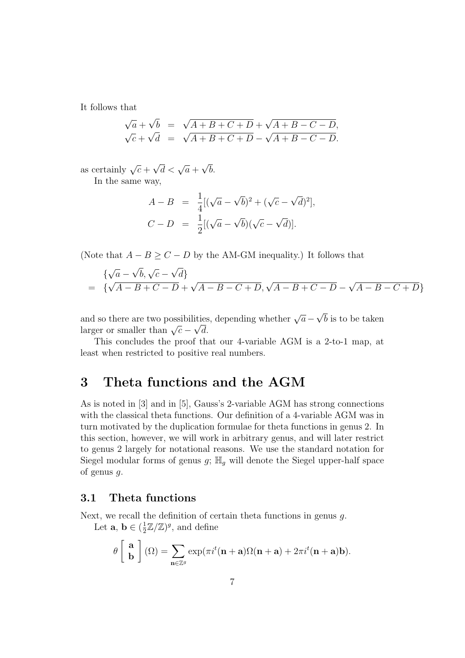It follows that

$$
\sqrt{a} + \sqrt{b} = \sqrt{A+B+C+D} + \sqrt{A+B-C-D},
$$
  

$$
\sqrt{c} + \sqrt{d} = \sqrt{A+B+C+D} - \sqrt{A+B-C-D}.
$$

as certainly  $\sqrt{c}$  +  $\sqrt{d} < \sqrt{a}$  + √ b.

In the same way,

$$
A - B = \frac{1}{4} [(\sqrt{a} - \sqrt{b})^2 + (\sqrt{c} - \sqrt{d})^2],
$$
  
\n
$$
C - D = \frac{1}{2} [(\sqrt{a} - \sqrt{b})(\sqrt{c} - \sqrt{d})].
$$

(Note that  $A - B \ge C - D$  by the AM-GM inequality.) It follows that

$$
\begin{aligned} & \{ \sqrt{a} - \sqrt{b}, \sqrt{c} - \sqrt{d} \} \\ &= \{ \sqrt{A - B + C - D} + \sqrt{A - B - C + D}, \sqrt{A - B + C - D} - \sqrt{A - B - C + D} \} \end{aligned}
$$

and so there are two possibilities, depending whether  $\sqrt{a}$  – √ ities, depending whether  $\sqrt{a} - \sqrt{b}$  is to be taken and so there are two possibilities<br>larger or smaller than  $\sqrt{c} - \sqrt{d}$ .

This concludes the proof that our 4-variable AGM is a 2-to-1 map, at least when restricted to positive real numbers.

### 3 Theta functions and the AGM

As is noted in [3] and in [5], Gauss's 2-variable AGM has strong connections with the classical theta functions. Our definition of a 4-variable AGM was in turn motivated by the duplication formulae for theta functions in genus 2. In this section, however, we will work in arbitrary genus, and will later restrict to genus 2 largely for notational reasons. We use the standard notation for Siegel modular forms of genus  $g$ ;  $\mathbb{H}_q$  will denote the Siegel upper-half space of genus g.

### 3.1 Theta functions

Next, we recall the definition of certain theta functions in genus g. Let  $\mathbf{a}, \mathbf{b} \in (\frac{1}{2})$  $\frac{1}{2}\mathbb{Z}/\mathbb{Z}$ , and define

$$
\theta\left[\begin{array}{c} \mathbf{a} \\ \mathbf{b} \end{array}\right](\Omega) = \sum_{\mathbf{n}\in\mathbb{Z}^g} \exp(\pi i^t(\mathbf{n}+\mathbf{a})\Omega(\mathbf{n}+\mathbf{a}) + 2\pi i^t(\mathbf{n}+\mathbf{a})\mathbf{b}).
$$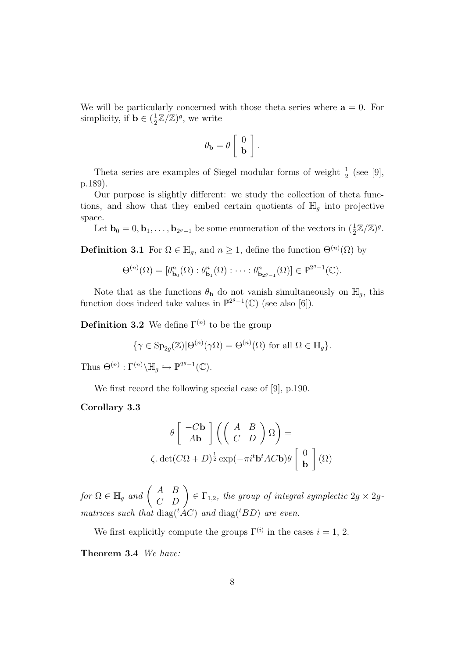We will be particularly concerned with those theta series where  $a = 0$ . For simplicity, if **b**  $\in$   $(\frac{1}{2})$  $\frac{1}{2}\mathbb{Z}/\mathbb{Z}$ , we write

$$
\theta_{\mathbf{b}} = \theta \left[ \begin{array}{c} 0 \\ \mathbf{b} \end{array} \right].
$$

Theta series are examples of Siegel modular forms of weight  $\frac{1}{2}$  (see [9], p.189).

Our purpose is slightly different: we study the collection of theta functions, and show that they embed certain quotients of  $\mathbb{H}_g$  into projective space.

Let  $\mathbf{b}_0 = 0, \mathbf{b}_1, \ldots, \mathbf{b}_{2^g-1}$  be some enumeration of the vectors in  $(\frac{1}{2}\mathbb{Z}/\mathbb{Z})^g$ .

**Definition 3.1** For  $\Omega \in \mathbb{H}_g$ , and  $n \geq 1$ , define the function  $\Theta^{(n)}(\Omega)$  by

$$
\Theta^{(n)}(\Omega) = [\theta_{\mathbf{b}_0}^n(\Omega) : \theta_{\mathbf{b}_1}^n(\Omega) : \cdots : \theta_{\mathbf{b}_{2^g-1}}^n(\Omega)] \in \mathbb{P}^{2^g-1}(\mathbb{C}).
$$

Note that as the functions  $\theta_{\mathbf{b}}$  do not vanish simultaneously on  $\mathbb{H}_g$ , this function does indeed take values in  $\mathbb{P}^{2g-1}(\mathbb{C})$  (see also [6]).

**Definition 3.2** We define  $\Gamma^{(n)}$  to be the group

$$
\{\gamma \in \text{Sp}_{2g}(\mathbb{Z}) | \Theta^{(n)}(\gamma \Omega) = \Theta^{(n)}(\Omega) \text{ for all } \Omega \in \mathbb{H}_g\}.
$$

Thus  $\Theta^{(n)} : \Gamma^{(n)} \backslash \mathbb{H}_g \hookrightarrow \mathbb{P}^{2g-1}(\mathbb{C}).$ 

We first record the following special case of [9], p.190.

Corollary 3.3

$$
\theta \begin{bmatrix} -C\mathbf{b} \\ A\mathbf{b} \end{bmatrix} \left( \begin{pmatrix} A & B \\ C & D \end{pmatrix} \Omega \right) =
$$
  

$$
\zeta. \det(C\Omega + D)^{\frac{1}{2}} \exp(-\pi i^t \mathbf{b}^t AC\mathbf{b}) \theta \begin{bmatrix} 0 \\ \mathbf{b} \end{bmatrix} (\Omega)
$$

for  $\Omega \in \mathbb{H}_g$  and  $\Big($ A B  $\begin{pmatrix} A & B \\ C & D \end{pmatrix} \in \Gamma_{1,2}$ , the group of integral symplectic  $2g \times 2g$ . matrices such that  $diag({}^tAC)$  and  $diag({}^tBD)$  are even.

We first explicitly compute the groups  $\Gamma^{(i)}$  in the cases  $i = 1, 2$ .

Theorem 3.4 We have: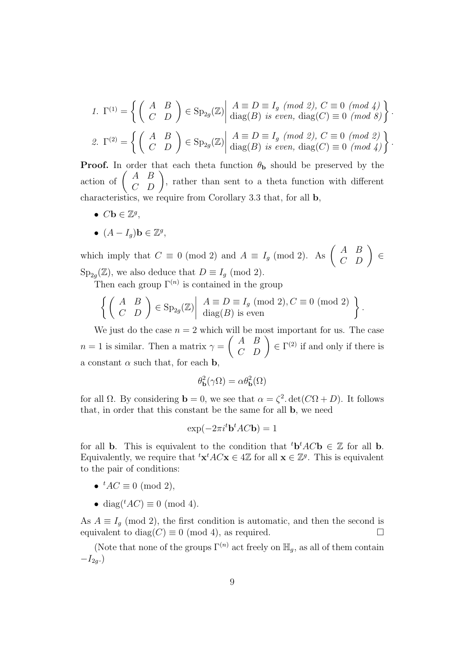1. 
$$
\Gamma^{(1)} = \left\{ \begin{pmatrix} A & B \\ C & D \end{pmatrix} \in \text{Sp}_{2g}(\mathbb{Z}) \middle| \begin{array}{l} A \equiv D \equiv I_g \pmod{2}, C \equiv 0 \pmod{4} \\ \text{diag}(B) \text{ is even, } \text{diag}(C) \equiv 0 \pmod{8} \end{array} \right\}.
$$
  
2. 
$$
\Gamma^{(2)} = \left\{ \begin{pmatrix} A & B \\ C & D \end{pmatrix} \in \text{Sp}_{2g}(\mathbb{Z}) \middle| \begin{array}{l} A \equiv D \equiv I_g \pmod{2}, C \equiv 0 \pmod{2} \\ \text{diag}(B) \text{ is even, } \text{diag}(C) \equiv 0 \pmod{4} \end{array} \right\}.
$$

**Proof.** In order that each theta function  $\theta_{\bf{b}}$  should be preserved by the **Proof.** In order t<br>action of  $\begin{pmatrix} A & B \\ C & D \end{pmatrix}$ rder that each theta function  $\theta_{\bf b}$  should be preserved by the <br>  $\begin{pmatrix} A & B \\ C & D \end{pmatrix}$ , rather than sent to a theta function with different characteristics, we require from Corollary 3.3 that, for all b,

- $C\mathbf{b} \in \mathbb{Z}^g$ ,
- $(A I_g)$ **b**  $\in \mathbb{Z}^g$ ,

which imply that  $C \equiv 0 \pmod{2}$  and  $A \equiv I_g \pmod{2}$ . As  $\left( \begin{array}{c} 1 \end{array} \right)$ A B  $\begin{pmatrix} A & B \\ C & D \end{pmatrix} \in$  $\text{Sp}_{2g}(\mathbb{Z})$ , we also deduce that  $D \equiv I_g \pmod{2}$ .

Then each group  $\Gamma^{(n)}$  is contained in the group

$$
\left\{ \begin{pmatrix} A & B \\ C & D \end{pmatrix} \in \text{Sp}_{2g}(\mathbb{Z}) \middle| \begin{array}{c} A \equiv D \equiv I_g \pmod{2}, C \equiv 0 \pmod{2} \\ \text{diag}(B) \text{ is even} \end{array} \right\}.
$$

We just do the case  $n = 2$  which will be most important for us. The case  $n=1$  is similar. Then a matrix  $\gamma = \begin{pmatrix} A & B \\ C & D \end{pmatrix}$ The most important for us. The case<br>  $\begin{pmatrix} A & B \\ C & D \end{pmatrix} \in \Gamma^{(2)}$  if and only if there is a constant  $\alpha$  such that, for each **b**,

$$
\theta_{\mathbf{b}}^2(\gamma\Omega) = \alpha \theta_{\mathbf{b}}^2(\Omega)
$$

for all  $\Omega$ . By considering **b** = 0, we see that  $\alpha = \zeta^2$  det( $C\Omega + D$ ). It follows that, in order that this constant be the same for all b, we need

$$
\exp(-2\pi i^t \mathbf{b}^t A C \mathbf{b}) = 1
$$

for all **b**. This is equivalent to the condition that <sup>t</sup>**b**<sup>t</sup> $AC$ **b**  $\in \mathbb{Z}$  for all **b**. Equivalently, we require that  ${}^t\mathbf{x}^t A C \mathbf{x} \in 4\mathbb{Z}$  for all  $\mathbf{x} \in \mathbb{Z}^g$ . This is equivalent to the pair of conditions:

- ${}^tAC \equiv 0 \pmod{2}$ ,
- diag( ${}^tAC$ )  $\equiv$  0 (mod 4).

As  $A \equiv I_g \pmod{2}$ , the first condition is automatic, and then the second is equivalent to diag( $C \equiv 0 \pmod{4}$ , as required.  $\Box$ 

(Note that none of the groups  $\Gamma^{(n)}$  act freely on  $\mathbb{H}_q$ , as all of them contain  $-I_{2q}$ .)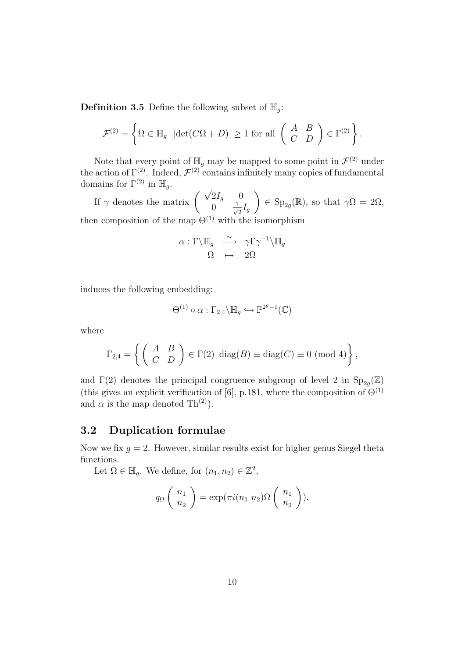**Definition 3.5** Define the following subset of  $\mathbb{H}_q$ :

$$
\mathcal{F}^{(2)} = \left\{ \Omega \in \mathbb{H}_g \, \middle| \, |\det(C\Omega + D)| \ge 1 \text{ for all } \left( \begin{array}{cc} A & B \\ C & D \end{array} \right) \in \Gamma^{(2)} \right\}.
$$

Note that every point of  $\mathbb{H}_g$  may be mapped to some point in  $\mathcal{F}^{(2)}$  under the action of  $\Gamma^{(2)}$ . Indeed,  $\mathcal{F}^{(2)}$  contains infinitely many copies of fundamental domains for  $\Gamma^{(2)}$  in  $\mathbb{H}_g$ .  $\mathbf{r}$ 

The matrix  $\begin{pmatrix} \sqrt{2}I_g & 0 \\ 0 & 1 \end{pmatrix}$  $0 \frac{1}{\sqrt{2}}$  $\frac{1}{2}I_g$  $\in$  Sp<sub>2g</sub>( $\mathbb{R}$ ), so that  $\gamma\Omega = 2\Omega$ , then composition of the map  $\Theta^{(1)}$  with the isomorphism

$$
\alpha : \Gamma \backslash \mathbb{H}_g \quad \xrightarrow{\sim} \quad \gamma \Gamma \gamma^{-1} \backslash \mathbb{H}_g
$$

$$
\Omega \quad \mapsto \quad 2\Omega
$$

induces the following embedding:

$$
\Theta^{(1)} \circ \alpha : \Gamma_{2,4} \backslash \mathbb{H}_g \hookrightarrow \mathbb{P}^{2^g - 1}(\mathbb{C})
$$

where

$$
\Gamma_{2,4} = \left\{ \begin{pmatrix} A & B \\ C & D \end{pmatrix} \in \Gamma(2) \middle| \text{diag}(B) \equiv \text{diag}(C) \equiv 0 \pmod{4} \right\},\
$$

and  $\Gamma(2)$  denotes the principal congruence subgroup of level 2 in  $\text{Sp}_{2g}(\mathbb{Z})$ (this gives an explicit verification of [6], p.181, where the composition of  $\Theta^{(1)}$ and  $\alpha$  is the map denoted Th<sup>(2)</sup>).

### 3.2 Duplication formulae

Now we fix  $g = 2$ . However, similar results exist for higher genus Siegel theta functions.

Let  $\Omega \in \mathbb{H}_g$ . We define, for  $(n_1, n_2) \in \mathbb{Z}^2$ ,

$$
q_{\Omega}\left(\begin{array}{c}n_1\\n_2\end{array}\right)=\exp(\pi i(n_1\ n_2)\Omega\left(\begin{array}{c}n_1\\n_2\end{array}\right)).
$$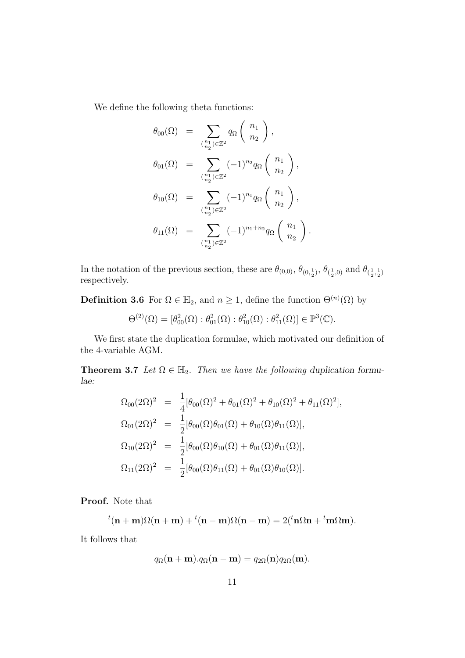We define the following theta functions:

$$
\theta_{00}(\Omega) = \sum_{\binom{n_1}{n_2}\in\mathbb{Z}^2} q_{\Omega} \binom{n_1}{n_2},
$$
  
\n
$$
\theta_{01}(\Omega) = \sum_{\binom{n_1}{n_2}\in\mathbb{Z}^2} (-1)^{n_2} q_{\Omega} \binom{n_1}{n_2},
$$
  
\n
$$
\theta_{10}(\Omega) = \sum_{\binom{n_1}{n_2}\in\mathbb{Z}^2} (-1)^{n_1} q_{\Omega} \binom{n_1}{n_2},
$$
  
\n
$$
\theta_{11}(\Omega) = \sum_{\binom{n_1}{n_2}\in\mathbb{Z}^2} (-1)^{n_1+n_2} q_{\Omega} \binom{n_1}{n_2}.
$$

In the notation of the previous section, these are  $\theta_{(0,0)}$ ,  $\theta_{(0,\frac{1}{2})}$ ,  $\theta_{(\frac{1}{2},0)}$  and  $\theta_{(\frac{1}{2},\frac{1}{2})}$ respectively.

**Definition 3.6** For  $\Omega \in \mathbb{H}_2$ , and  $n \geq 1$ , define the function  $\Theta^{(n)}(\Omega)$  by

$$
\Theta^{(2)}(\Omega) = [\theta_{00}^2(\Omega) : \theta_{01}^2(\Omega) : \theta_{10}^2(\Omega) : \theta_{11}^2(\Omega)] \in \mathbb{P}^3(\mathbb{C}).
$$

We first state the duplication formulae, which motivated our definition of the 4-variable AGM.

**Theorem 3.7** Let  $\Omega \in \mathbb{H}_2$ . Then we have the following duplication formulae:

$$
\begin{array}{rcl}\n\Omega_{00}(2\Omega)^2 &=& \frac{1}{4} [\theta_{00}(\Omega)^2 + \theta_{01}(\Omega)^2 + \theta_{10}(\Omega)^2 + \theta_{11}(\Omega)^2], \\
\Omega_{01}(2\Omega)^2 &=& \frac{1}{2} [\theta_{00}(\Omega)\theta_{01}(\Omega) + \theta_{10}(\Omega)\theta_{11}(\Omega)], \\
\Omega_{10}(2\Omega)^2 &=& \frac{1}{2} [\theta_{00}(\Omega)\theta_{10}(\Omega) + \theta_{01}(\Omega)\theta_{11}(\Omega)], \\
\Omega_{11}(2\Omega)^2 &=& \frac{1}{2} [\theta_{00}(\Omega)\theta_{11}(\Omega) + \theta_{01}(\Omega)\theta_{10}(\Omega)].\n\end{array}
$$

Proof. Note that

 $t(n+m)\Omega(n+m) + t(n-m)\Omega(n-m) = 2(t^n n\Omega n + t^m\Omega m).$ 

It follows that

$$
q_{\Omega}(\mathbf{n}+\mathbf{m}).q_{\Omega}(\mathbf{n}-\mathbf{m})=q_{2\Omega}(\mathbf{n})q_{2\Omega}(\mathbf{m}).
$$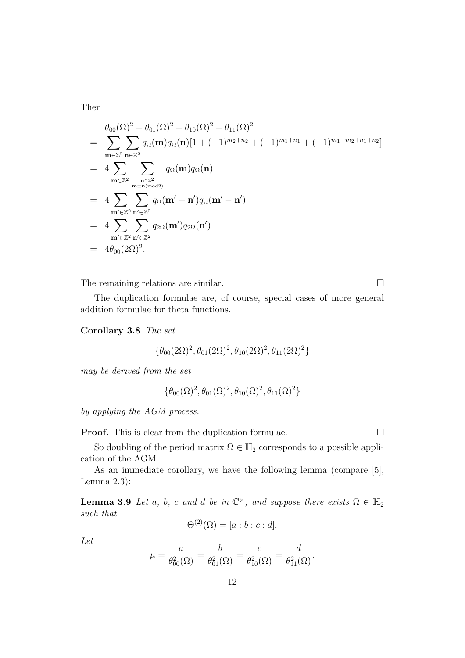Then

$$
\theta_{00}(\Omega)^{2} + \theta_{01}(\Omega)^{2} + \theta_{10}(\Omega)^{2} + \theta_{11}(\Omega)^{2}
$$
\n
$$
= \sum_{\mathbf{m}\in\mathbb{Z}^{2}} \sum_{\mathbf{n}\in\mathbb{Z}^{2}} q_{\Omega}(\mathbf{m}) q_{\Omega}(\mathbf{n}) [1 + (-1)^{m_{2}+n_{2}} + (-1)^{m_{1}+n_{1}} + (-1)^{m_{1}+m_{2}+n_{1}+n_{2}}]
$$
\n
$$
= 4 \sum_{\mathbf{m}\in\mathbb{Z}^{2}} \sum_{\mathbf{n}\in\mathbb{Z}^{2}} q_{\Omega}(\mathbf{m}) q_{\Omega}(\mathbf{n})
$$
\n
$$
= 4 \sum_{\mathbf{m}'\in\mathbb{Z}^{2}} \sum_{\mathbf{n}'\in\mathbb{Z}^{2}} q_{\Omega}(\mathbf{m}' + \mathbf{n}') q_{\Omega}(\mathbf{m}' - \mathbf{n}')
$$
\n
$$
= 4 \sum_{\mathbf{m}'\in\mathbb{Z}^{2}} \sum_{\mathbf{n}'\in\mathbb{Z}^{2}} q_{2\Omega}(\mathbf{m}') q_{2\Omega}(\mathbf{n}')
$$
\n
$$
= 4 \theta_{00}(2\Omega)^{2}.
$$

The remaining relations are similar.  $\Box$ 

The duplication formulae are, of course, special cases of more general addition formulae for theta functions.

Corollary 3.8 The set

$$
\{\theta_{00}(2\Omega)^2, \theta_{01}(2\Omega)^2, \theta_{10}(2\Omega)^2, \theta_{11}(2\Omega)^2\}
$$

may be derived from the set

$$
\{\theta_{00}(\Omega)^2, \theta_{01}(\Omega)^2, \theta_{10}(\Omega)^2, \theta_{11}(\Omega)^2\}
$$

by applying the AGM process.

**Proof.** This is clear from the duplication formulae.  $\Box$ 

So doubling of the period matrix  $\Omega \in \mathbb{H}_2$  corresponds to a possible application of the AGM.

As an immediate corollary, we have the following lemma (compare [5], Lemma 2.3):

**Lemma 3.9** Let a, b, c and d be in  $\mathbb{C}^{\times}$ , and suppose there exists  $\Omega \in \mathbb{H}_2$ such that

$$
\Theta^{(2)}(\Omega) = [a:b:c:d].
$$

Let

$$
\mu = \frac{a}{\theta_{00}^2(\Omega)} = \frac{b}{\theta_{01}^2(\Omega)} = \frac{c}{\theta_{10}^2(\Omega)} = \frac{d}{\theta_{11}^2(\Omega)}.
$$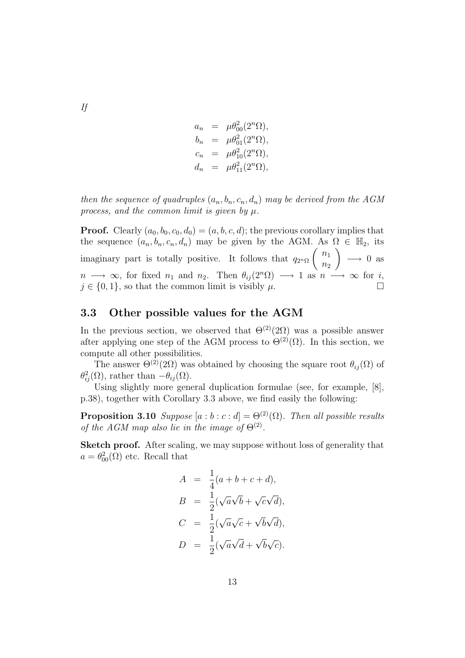$$
a_n = \mu \theta_{00}^2(2^n \Omega), \n b_n = \mu \theta_{01}^2(2^n \Omega), \n c_n = \mu \theta_{10}^2(2^n \Omega), \n d_n = \mu \theta_{11}^2(2^n \Omega),
$$

then the sequence of quadruples  $(a_n, b_n, c_n, d_n)$  may be derived from the AGM process, and the common limit is given by  $\mu$ .

**Proof.** Clearly  $(a_0, b_0, c_0, d_0) = (a, b, c, d)$ ; the previous corollary implies that the sequence  $(a_n, b_n, c_n, d_n)$  may be given by the AGM. As  $\Omega \in \mathbb{H}_2$ , its imaginary part is totally positive. It follows that  $q_{2^n\Omega}$  $\cdot$  ,  $n_1$  $n<sub>2</sub>$  $\frac{Z}{\sqrt{2}}$  $\longrightarrow 0$  as  $n \longrightarrow \infty$ , for fixed  $n_1$  and  $n_2$ . Then  $\theta_{ij}(2^n\Omega) \longrightarrow 1$  as  $n \longrightarrow \infty$  for i,  $j \in \{0, 1\}$ , so that the common limit is visibly  $\mu$ .

### 3.3 Other possible values for the AGM

In the previous section, we observed that  $\Theta^{(2)}(2\Omega)$  was a possible answer after applying one step of the AGM process to  $\Theta^{(2)}(\Omega)$ . In this section, we compute all other possibilities.

The answer  $\Theta^{(2)}(2\Omega)$  was obtained by choosing the square root  $\theta_{ij}(\Omega)$  of  $\theta_{ij}^2(\Omega)$ , rather than  $-\theta_{ij}(\Omega)$ .

Using slightly more general duplication formulae (see, for example, [8], p.38), together with Corollary 3.3 above, we find easily the following:

**Proposition 3.10** Suppose  $[a : b : c : d] = \Theta^{(2)}(\Omega)$ . Then all possible results of the AGM map also lie in the image of  $\Theta^{(2)}$ .

Sketch proof. After scaling, we may suppose without loss of generality that  $a = \theta_{00}^2(\Omega)$  etc. Recall that

$$
A = \frac{1}{4}(a+b+c+d),
$$
  
\n
$$
B = \frac{1}{2}(\sqrt{a}\sqrt{b} + \sqrt{c}\sqrt{d}),
$$
  
\n
$$
C = \frac{1}{2}(\sqrt{a}\sqrt{c} + \sqrt{b}\sqrt{d}),
$$
  
\n
$$
D = \frac{1}{2}(\sqrt{a}\sqrt{d} + \sqrt{b}\sqrt{c}).
$$

If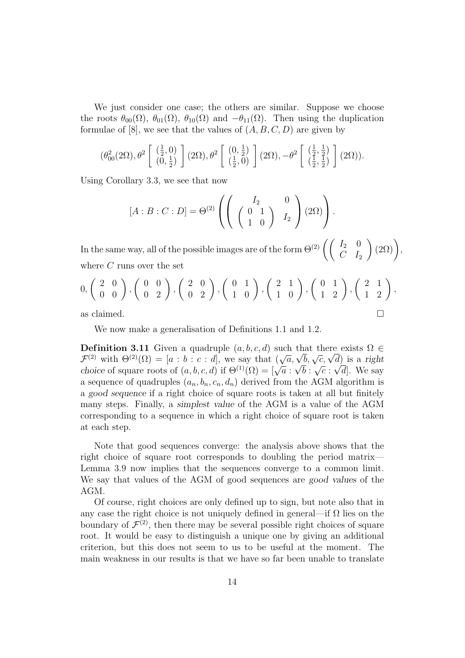We just consider one case; the others are similar. Suppose we choose the roots  $\theta_{00}(\Omega)$ ,  $\theta_{01}(\Omega)$ ,  $\theta_{10}(\Omega)$  and  $-\theta_{11}(\Omega)$ . Then using the duplication formulae of [8], we see that the values of  $(A, B, C, D)$  are given by

$$
(\theta_{00}^2(2\Omega),\theta^2\left[\begin{array}{c}(\frac{1}{2},0)\\ (0,\frac{1}{2})\end{array}\right](2\Omega),\theta^2\left[\begin{array}{c} (0,\frac{1}{2})\\ (\frac{1}{2},0)\end{array}\right](2\Omega),-\theta^2\left[\begin{array}{c}(\frac{1}{2},\frac{1}{2})\\ (\frac{1}{2},\frac{1}{2})\end{array}\right](2\Omega)).
$$

Using Corollary 3.3, we see that now

$$
[A:B:C:D] = \Theta^{(2)}\left(\left(\begin{array}{cc} I_2 & 0 \\ \left(\begin{array}{cc} 0 & 1 \\ 1 & 0 \end{array}\right) & I_2 \end{array}\right)(2\Omega)\right).
$$

In the same way, all of the possible images are of the form  $\Theta^{(2)}\left(\begin{array}{cc} I_2 & 0 \ C & I_1 \end{array}\right)$  $C$   $I_2$  $(2\Omega)$ , where  $C$  runs over the set

$$
0, \begin{pmatrix} 2 & 0 \ 0 & 0 \end{pmatrix}, \begin{pmatrix} 0 & 0 \ 0 & 2 \end{pmatrix}, \begin{pmatrix} 2 & 0 \ 0 & 2 \end{pmatrix}, \begin{pmatrix} 0 & 1 \ 1 & 0 \end{pmatrix}, \begin{pmatrix} 2 & 1 \ 1 & 0 \end{pmatrix}, \begin{pmatrix} 0 & 1 \ 1 & 2 \end{pmatrix}, \begin{pmatrix} 2 & 1 \ 1 & 2 \end{pmatrix},
$$
as claimed.

We now make a generalisation of Definitions 1.1 and 1.2.

**Definition 3.11** Given a quadruple  $(a, b, c, d)$  such that there exists  $\Omega \in$ **Definition 3.11** Given a quadruple  $(a, b, c, d)$  such that there exists  $\Omega \in \mathcal{F}^{(2)}$  with  $\Theta^{(2)}(\Omega) = [a : b : c : d]$ , we say that  $(\sqrt{a}, \sqrt{b}, \sqrt{c}, \sqrt{d})$  is a right choice of square roots of  $(a, b, c, d)$  if  $\Theta^{(1)}(\Omega) = [\sqrt{a} : \sqrt{b} : \sqrt{c} : \sqrt{d}]$ . We say a sequence of quadruples  $(a_n, b_n, c_n, d_n)$  derived from the AGM algorithm is a good sequence if a right choice of square roots is taken at all but finitely many steps. Finally, a simplest value of the AGM is a value of the AGM corresponding to a sequence in which a right choice of square root is taken at each step.

Note that good sequences converge: the analysis above shows that the right choice of square root corresponds to doubling the period matrix— Lemma 3.9 now implies that the sequences converge to a common limit. We say that values of the AGM of good sequences are good values of the AGM.

Of course, right choices are only defined up to sign, but note also that in any case the right choice is not uniquely defined in general—if  $\Omega$  lies on the boundary of  $\mathcal{F}^{(2)}$ , then there may be several possible right choices of square root. It would be easy to distinguish a unique one by giving an additional criterion, but this does not seem to us to be useful at the moment. The main weakness in our results is that we have so far been unable to translate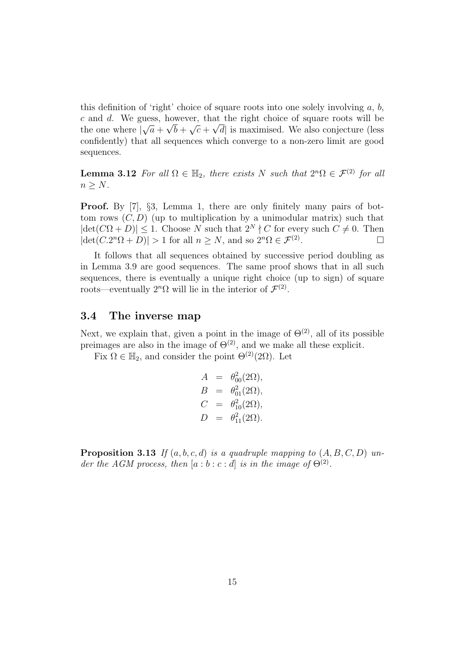this definition of 'right' choice of square roots into one solely involving  $a, b$ , c and d. We guess, however, that the right choice of square roots will be the one where  $|\sqrt{a} + \sqrt{b} + \sqrt{c} + \sqrt{d}|$  is maximised. We also conjecture (less confidently) that all sequences which converge to a non-zero limit are good sequences.

**Lemma 3.12** For all  $\Omega \in \mathbb{H}_2$ , there exists N such that  $2^n\Omega \in \mathcal{F}^{(2)}$  for all  $n > N$ .

**Proof.** By [7], §3, Lemma 1, there are only finitely many pairs of bottom rows  $(C, D)$  (up to multiplication by a unimodular matrix) such that  $|\det(C\Omega + D)| \leq 1$ . Choose N such that  $2^N \nmid C$  for every such  $C \neq 0$ . Then  $|\det(C \cdot 2^n \Omega + D)| > 1$  for all  $n \geq N$ , and so  $2^n \Omega \in \mathcal{F}^{(2)}$ .  $\Box$ 

It follows that all sequences obtained by successive period doubling as in Lemma 3.9 are good sequences. The same proof shows that in all such sequences, there is eventually a unique right choice (up to sign) of square roots—eventually  $2^n \Omega$  will lie in the interior of  $\mathcal{F}^{(2)}$ .

### 3.4 The inverse map

Next, we explain that, given a point in the image of  $\Theta^{(2)}$ , all of its possible preimages are also in the image of  $\Theta^{(2)}$ , and we make all these explicit.

Fix  $\Omega \in \mathbb{H}_2$ , and consider the point  $\Theta^{(2)}(2\Omega)$ . Let

$$
A = \theta_{00}^{2}(2\Omega), \n B = \theta_{01}^{2}(2\Omega), \n C = \theta_{10}^{2}(2\Omega), \n D = \theta_{11}^{2}(2\Omega).
$$

**Proposition 3.13** If  $(a, b, c, d)$  is a quadruple mapping to  $(A, B, C, D)$  under the AGM process, then  $[a:b:c:d]$  is in the image of  $\Theta^{(2)}$ .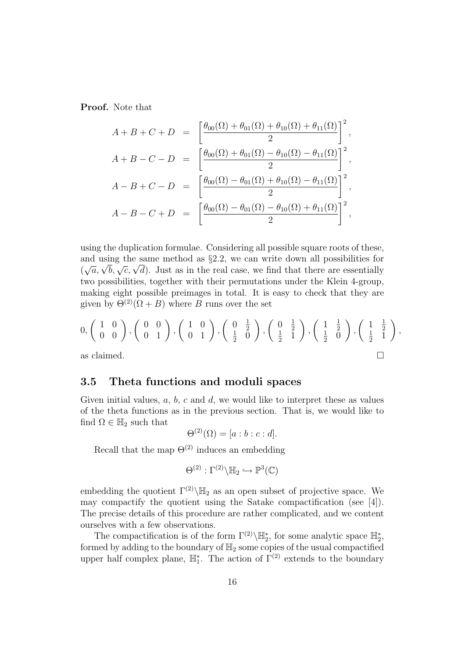Proof. Note that

$$
A + B + C + D = \left[ \frac{\theta_{00}(\Omega) + \theta_{01}(\Omega) + \theta_{10}(\Omega) + \theta_{11}(\Omega)}{2} \right]^2,
$$
  
\n
$$
A + B - C - D = \left[ \frac{\theta_{00}(\Omega) + \theta_{01}(\Omega) - \theta_{10}(\Omega) - \theta_{11}(\Omega)}{2} \right]^2,
$$
  
\n
$$
A - B + C - D = \left[ \frac{\theta_{00}(\Omega) - \theta_{01}(\Omega) + \theta_{10}(\Omega) - \theta_{11}(\Omega)}{2} \right]^2,
$$
  
\n
$$
A - B - C + D = \left[ \frac{\theta_{00}(\Omega) - \theta_{01}(\Omega) - \theta_{10}(\Omega) + \theta_{11}(\Omega)}{2} \right]^2,
$$

using the duplication formulae. Considering all possible square roots of these, and using the same method as  $\S 2.2$ , we can write down all possibilities for and using the same method as  $\S 2.2$ , we can write down all possibilities for  $(\sqrt{a}, \sqrt{b}, \sqrt{c}, \sqrt{d})$ . Just as in the real case, we find that there are essentially two possibilities, together with their permutations under the Klein 4-group, making eight possible preimages in total. It is easy to check that they are given by  $\Theta^{(2)}(\Omega + B)$  where B runs over the set

$$
0, \begin{pmatrix} 1 & 0 \ 0 & 0 \end{pmatrix}, \begin{pmatrix} 0 & 0 \ 0 & 1 \end{pmatrix}, \begin{pmatrix} 1 & 0 \ 0 & 1 \end{pmatrix}, \begin{pmatrix} 0 & \frac{1}{2} \\ \frac{1}{2} & 0 \end{pmatrix}, \begin{pmatrix} 0 & \frac{1}{2} \\ \frac{1}{2} & 1 \end{pmatrix}, \begin{pmatrix} 1 & \frac{1}{2} \\ \frac{1}{2} & 0 \end{pmatrix}, \begin{pmatrix} 1 & \frac{1}{2} \\ \frac{1}{2} & 1 \end{pmatrix},
$$
as claimed.

### 3.5 Theta functions and moduli spaces

Given initial values,  $a, b, c$  and  $d$ , we would like to interpret these as values of the theta functions as in the previous section. That is, we would like to find  $\Omega \in \mathbb{H}_2$  such that

$$
\Theta^{(2)}(\Omega) = [a:b:c:d].
$$

Recall that the map  $\Theta^{(2)}$  induces an embedding

$$
\Theta^{(2)}:\Gamma^{(2)}\backslash\mathbb{H}_2\hookrightarrow\mathbb{P}^3(\mathbb{C})
$$

embedding the quotient  $\Gamma^{(2)}\backslash\mathbb{H}_2$  as an open subset of projective space. We may compactify the quotient using the Satake compactification (see [4]). The precise details of this procedure are rather complicated, and we content ourselves with a few observations.

The compactification is of the form  $\Gamma^{(2)}\backslash \mathbb{H}_2^*$ , for some analytic space  $\mathbb{H}_2^*$ , formed by adding to the boundary of  $\mathbb{H}_2$  some copies of the usual compactified upper half complex plane,  $\mathbb{H}_1^*$ . The action of  $\Gamma^{(2)}$  extends to the boundary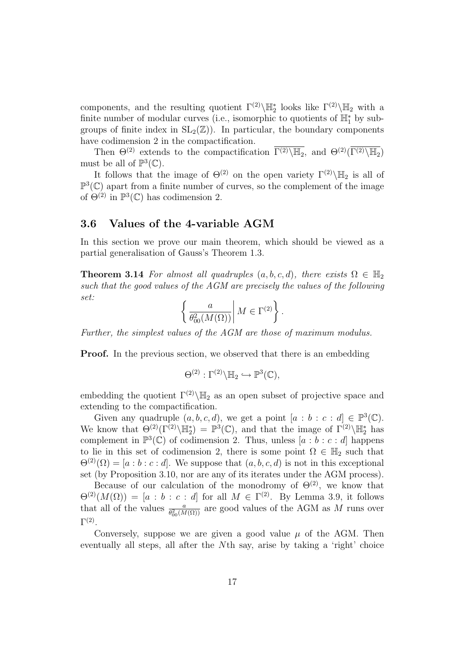components, and the resulting quotient  $\Gamma^{(2)}\backslash \mathbb{H}_2^*$  looks like  $\Gamma^{(2)}\backslash \mathbb{H}_2$  with a finite number of modular curves (i.e., isomorphic to quotients of  $\mathbb{H}_1^*$  by subgroups of finite index in  $SL_2(\mathbb{Z})$ . In particular, the boundary components have codimension 2 in the compactification.

Then  $\Theta^{(2)}$  extends to the compactification  $\overline{\Gamma^{(2)}\backslash\mathbb{H}_2}$ , and  $\Theta^{(2)}(\overline{\Gamma^{(2)}\backslash\mathbb{H}_2})$ must be all of  $\mathbb{P}^3(\mathbb{C})$ .

It follows that the image of  $\Theta^{(2)}$  on the open variety  $\Gamma^{(2)}\backslash\mathbb{H}_2$  is all of  $\mathbb{P}^3(\mathbb{C})$  apart from a finite number of curves, so the complement of the image of  $\Theta^{(2)}$  in  $\mathbb{P}^3(\mathbb{C})$  has codimension 2.

### 3.6 Values of the 4-variable AGM

In this section we prove our main theorem, which should be viewed as a partial generalisation of Gauss's Theorem 1.3.

**Theorem 3.14** For almost all quadruples  $(a, b, c, d)$ , there exists  $\Omega \in \mathbb{H}_2$ such that the good values of the AGM are precisely the values of the following set: ½  $\overline{a}$ 

$$
\left\{ \left. \frac{a}{\theta_{00}^2(M(\Omega))} \right| M \in \Gamma^{(2)} \right\}.
$$

Further, the simplest values of the AGM are those of maximum modulus.

**Proof.** In the previous section, we observed that there is an embedding

$$
\Theta^{(2)} : \Gamma^{(2)} \backslash \mathbb{H}_2 \hookrightarrow \mathbb{P}^3(\mathbb{C}),
$$

embedding the quotient  $\Gamma^{(2)}\backslash\mathbb{H}_2$  as an open subset of projective space and extending to the compactification.

Given any quadruple  $(a, b, c, d)$ , we get a point  $[a : b : c : d] \in \mathbb{P}^3(\mathbb{C})$ . We know that  $\Theta^{(2)}(\Gamma^{(2)}\backslash \mathbb{H}_2^*) = \mathbb{P}^3(\mathbb{C})$ , and that the image of  $\Gamma^{(2)}\backslash \mathbb{H}_2^*$  has complement in  $\mathbb{P}^3(\mathbb{C})$  of codimension 2. Thus, unless  $[a:b:c:d]$  happens to lie in this set of codimension 2, there is some point  $\Omega \in \mathbb{H}_2$  such that  $\Theta^{(2)}(\Omega) = [a:b:c:d]$ . We suppose that  $(a,b,c,d)$  is not in this exceptional set (by Proposition 3.10, nor are any of its iterates under the AGM process).

Because of our calculation of the monodromy of  $\Theta^{(2)}$ , we know that  $\Theta^{(2)}(M(\Omega)) = [a : b : c : d]$  for all  $M \in \Gamma^{(2)}$ . By Lemma 3.9, it follows that all of the values  $\frac{a}{\theta_{00}^2(M(\Omega))}$  are good values of the AGM as M runs over  $\Gamma^{(2)}$ .

Conversely, suppose we are given a good value  $\mu$  of the AGM. Then eventually all steps, all after the Nth say, arise by taking a 'right' choice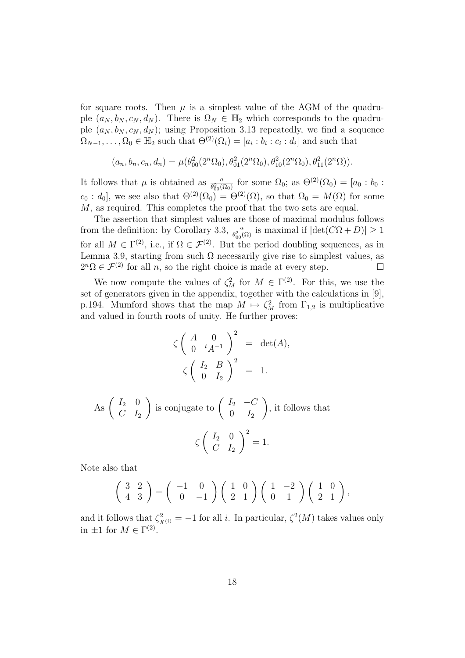for square roots. Then  $\mu$  is a simplest value of the AGM of the quadruple  $(a_N, b_N, c_N, d_N)$ . There is  $\Omega_N \in \mathbb{H}_2$  which corresponds to the quadruple  $(a_N, b_N, c_N, d_N)$ ; using Proposition 3.13 repeatedly, we find a sequence  $\Omega_{N-1}, \ldots, \Omega_0 \in \mathbb{H}_2$  such that  $\Theta^{(2)}(\Omega_i) = [a_i : b_i : c_i : d_i]$  and such that

$$
(a_n, b_n, c_n, d_n) = \mu(\theta_{00}^2(2^n \Omega_0), \theta_{01}^2(2^n \Omega_0), \theta_{10}^2(2^n \Omega_0), \theta_{11}^2(2^n \Omega)).
$$

It follows that  $\mu$  is obtained as  $\frac{a}{\theta_{00}^2(\Omega_0)}$  for some  $\Omega_0$ ; as  $\Theta^{(2)}(\Omega_0) = [a_0 : b_0 :$  $c_0 : d_0$ , we see also that  $\Theta^{(2)}(\Omega_0) = \Theta^{(2)}(\Omega)$ , so that  $\Omega_0 = M(\Omega)$  for some M, as required. This completes the proof that the two sets are equal.

The assertion that simplest values are those of maximal modulus follows from the definition: by Corollary 3.3,  $\frac{a}{\theta_{00}^2(\Omega)}$  is maximal if  $|\text{det}(C\Omega + D)| \ge 1$ for all  $M \in \Gamma^{(2)}$ , i.e., if  $\Omega \in \mathcal{F}^{(2)}$ . But the period doubling sequences, as in Lemma 3.9, starting from such  $\Omega$  necessarily give rise to simplest values, as  $2^{n}\Omega \in \mathcal{F}^{(2)}$  for all *n*, so the right choice is made at every step.  $\square$ 

We now compute the values of  $\zeta_M^2$  for  $M \in \Gamma^{(2)}$ . For this, we use the set of generators given in the appendix, together with the calculations in [9], p.194. Mumford shows that the map  $M \mapsto \zeta_M^2$  from  $\Gamma_{1,2}$  is multiplicative and valued in fourth roots of unity. He further proves:

$$
\zeta \left( \begin{array}{cc} A & 0 \\ 0 & {}^t A^{-1} \end{array} \right)^2 = \det(A),
$$
  

$$
\zeta \left( \begin{array}{cc} I_2 & B \\ 0 & I_2 \end{array} \right)^2 = 1.
$$

As 
$$
\begin{pmatrix} I_2 & 0 \\ C & I_2 \end{pmatrix}
$$
 is conjugate to  $\begin{pmatrix} I_2 & -C \\ 0 & I_2 \end{pmatrix}$ , it follows that  

$$
\zeta \begin{pmatrix} I_2 & 0 \\ C & I_2 \end{pmatrix}^2 = 1.
$$

Note also that

$$
\left(\begin{array}{cc}3 & 2\\4 & 3\end{array}\right) = \left(\begin{array}{cc} -1 & 0\\0 & -1\end{array}\right) \left(\begin{array}{cc}1 & 0\\2 & 1\end{array}\right) \left(\begin{array}{cc}1 & -2\\0 & 1\end{array}\right) \left(\begin{array}{cc}1 & 0\\2 & 1\end{array}\right),
$$

and it follows that  $\zeta^2_{X^{(i)}} = -1$  for all i. In particular,  $\zeta^2(M)$  takes values only in  $\pm 1$  for  $M \in \Gamma^{(2)}$ .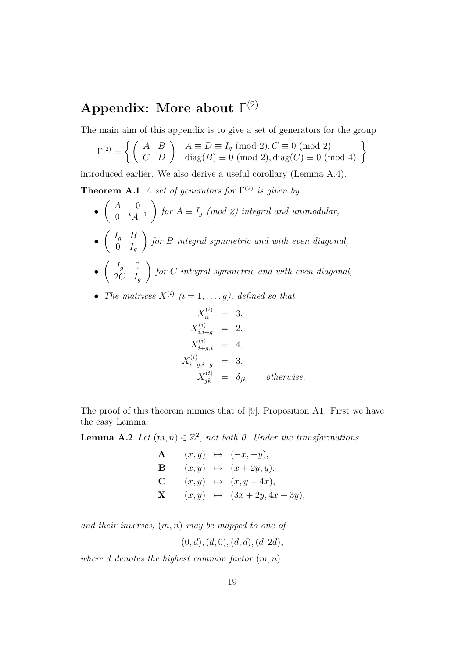# Appendix: More about  $\Gamma^{(2)}$

The main aim of this appendix is to give a set of generators for the group

$$
\Gamma^{(2)} = \left\{ \left( \begin{array}{cc} A & B \\ C & D \end{array} \right) \middle| \begin{array}{c} A \equiv D \equiv I_g \pmod{2}, C \equiv 0 \pmod{2} \\ \text{diag}(B) \equiv 0 \pmod{2}, \text{diag}(C) \equiv 0 \pmod{4} \end{array} \right\}
$$

introduced earlier. We also derive a useful corollary (Lemma A.4).

**Theorem A.1** A set of generators for  $\Gamma^{(2)}$  is given by  $\overline{\phantom{a}}$  $\frac{1}{\sqrt{2}}$ 

- $A \quad 0$  $0 \quad {}^tA^{-1}$ for  $A \equiv I_g \pmod{2}$  integral and unimodular,  $\overline{a}$  $\mathbf{r}$
- $I_g$   $B$  $0$   $I_g$ for B integral symmetric and with even diagonal,  $\overline{a}$  $\mathbf{r}$
- $I_g$  0  $2C$   $I_g$ for C integral symmetric and with even diagonal,
- The matrices  $X^{(i)}$   $(i = 1, \ldots, g)$ , defined so that

$$
X_{ii}^{(i)} = 3,\n X_{i,i+g}^{(i)} = 2,\n X_{i+g,i}^{(i)} = 4,\n X_{i+g,i+g}^{(i)} = 3,\n X_{jk}^{(i)} = \delta_{jk} \t otherwise.
$$

The proof of this theorem mimics that of [9], Proposition A1. First we have the easy Lemma:

**Lemma A.2** Let  $(m, n) \in \mathbb{Z}^2$ , not both 0. Under the transformations

**A** 
$$
(x, y) \mapsto (-x, -y),
$$
  
\n**B**  $(x, y) \mapsto (x + 2y, y),$   
\n**C**  $(x, y) \mapsto (x, y + 4x),$   
\n**X**  $(x, y) \mapsto (3x + 2y, 4x + 3y),$ 

and their inverses,  $(m, n)$  may be mapped to one of

$$
(0, d), (d, 0), (d, d), (d, 2d),
$$

where d denotes the highest common factor  $(m, n)$ .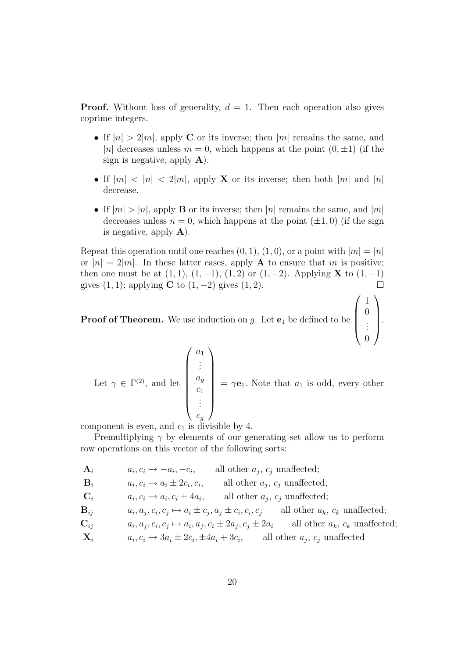**Proof.** Without loss of generality,  $d = 1$ . Then each operation also gives coprime integers.

- If  $|n| > 2|m|$ , apply C or its inverse; then |m| remains the same, and |n| decreases unless  $m = 0$ , which happens at the point  $(0, \pm 1)$  (if the sign is negative, apply  $\bf{A}$ ).
- If  $|m| < |n| < 2|m|$ , apply **X** or its inverse; then both  $|m|$  and  $|n|$ decrease.
- If  $|m| > |n|$ , apply **B** or its inverse; then  $|n|$  remains the same, and  $|m|$ decreases unless  $n = 0$ , which happens at the point  $(\pm 1, 0)$  (if the sign is negative, apply  $\bf{A}$ ).

Repeat this operation until one reaches  $(0, 1), (1, 0)$ , or a point with  $|m| = |n|$ or  $|n| = 2|m|$ . In these latter cases, apply **A** to ensure that m is positive; then one must be at  $(1, 1)$ ,  $(1, -1)$ ,  $(1, 2)$  or  $(1, -2)$ . Applying **X** to  $(1, -1)$ gives  $(1, 1)$ ; applying C to  $(1, -2)$  gives  $(1, 2)$ .  $\overline{\phantom{a}}$  $\sqrt{2}$ 

1 0  $\begin{matrix} 0 \\ \vdots \end{matrix}$ 

0

.

**Proof of Theorem.** We use induction on g. Let  $e_1$  be defined to be

Let  $\gamma \in \Gamma^{(2)}$ , and let  $\sqrt{a_1}$  $\begin{array}{c} \hline \end{array}$ . . .  $a_g$  $\overline{c_1}$ . . .  $c_g$  $\mathbf{r}$   $= \gamma \mathbf{e}_1$ . Note that  $a_1$  is odd, every other

component is even, and  $c_1$  is divisible by 4.

Premultiplying  $\gamma$  by elements of our generating set allow us to perform row operations on this vector of the following sorts:

- $A_i$   $a_i, c_i \mapsto -a_i, -c_i,$  all other  $a_j, c_j$  unaffected;
- $B_i$   $a_i, c_i \mapsto a_i \pm 2c_i, c_i$ , all other  $a_j, c_j$  unaffected;

 $\mathbf{C}_i$   $a_i, c_i \mapsto a_i, c_i \pm 4a_i$ , all other  $a_j, c_j$  unaffected;

 $B_{ii}$  $a_j, c_i, c_j \mapsto a_i \pm c_j, a_j \pm c_i, c_i, c_j$  all other  $a_k, c_k$  unaffected;

$$
\mathbf{C}_{ij} \qquad \qquad a_i, a_j, c_i, c_j \mapsto a_i, a_j, c_i \pm 2a_j, c_j \pm 2a_i \qquad \text{all other } a_k, c_k \text{ unaffected};
$$

$$
\mathbf{X}_i \qquad \qquad a_i, c_i \mapsto 3a_i \pm 2c_i, \pm 4a_i + 3c_i, \qquad \text{all other } a_j, c_j \text{ unaffected}
$$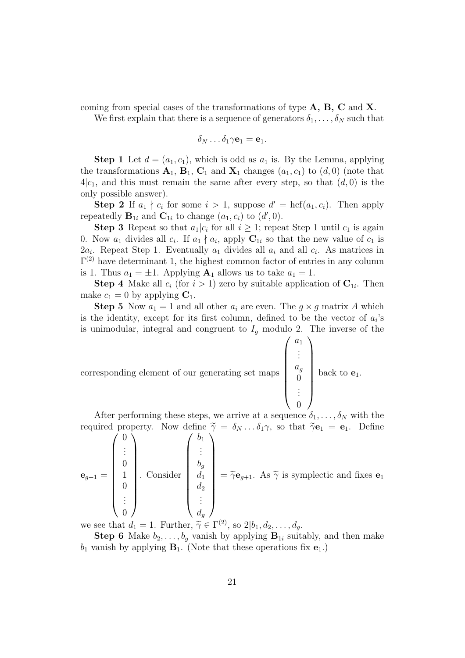coming from special cases of the transformations of type  $A, B, C$  and  $X$ .

We first explain that there is a sequence of generators  $\delta_1, \ldots, \delta_N$  such that

$$
\delta_N \dots \delta_1 \gamma \mathbf{e}_1 = \mathbf{e}_1.
$$

**Step 1** Let  $d = (a_1, c_1)$ , which is odd as  $a_1$  is. By the Lemma, applying the transformations  $A_1$ ,  $B_1$ ,  $C_1$  and  $X_1$  changes  $(a_1, c_1)$  to  $(d, 0)$  (note that  $4|c_1$ , and this must remain the same after every step, so that  $(d, 0)$  is the only possible answer).

**Step 2** If  $a_1 \nmid c_i$  for some  $i > 1$ , suppose  $d' = \text{hcf}(a_1, c_i)$ . Then apply repeatedly  $\mathbf{B}_{1i}$  and  $\mathbf{C}_{1i}$  to change  $(a_1, c_i)$  to  $(d', 0)$ .

**Step 3** Repeat so that  $a_1|c_i$  for all  $i \geq 1$ ; repeat Step 1 until  $c_1$  is again 0. Now  $a_1$  divides all  $c_i$ . If  $a_1 \nmid a_i$ , apply  $C_{1i}$  so that the new value of  $c_1$  is  $2a_i$ . Repeat Step 1. Eventually  $a_1$  divides all  $a_i$  and all  $c_i$ . As matrices in  $\Gamma^{(2)}$  have determinant 1, the highest common factor of entries in any column is 1. Thus  $a_1 = \pm 1$ . Applying  $A_1$  allows us to take  $a_1 = 1$ .

**Step 4** Make all  $c_i$  (for  $i > 1$ ) zero by suitable application of  $C_{1i}$ . Then make  $c_1 = 0$  by applying  $C_1$ .

**Step 5** Now  $a_1 = 1$  and all other  $a_i$  are even. The  $g \times g$  matrix A which is the identity, except for its first column, defined to be the vector of  $a_i$ 's is unimodular, integral and congruent to  $I_g$  modulo 2. The inverse of the

corresponding element of our generating set maps

$$
\text{naps} \begin{pmatrix} a_1 \\ \vdots \\ a_g \\ 0 \\ \vdots \\ 0 \end{pmatrix} \text{back to } \mathbf{e}_1.
$$

After performing these steps, we arrive at a sequence  $\delta_1, \ldots, \delta_N$  with the required property. Now define  $\tilde{\gamma} = \delta_N \dots \delta_1 \gamma$ , so that  $\tilde{\gamma} e_1 = e_1$ . Define

$$
\mathbf{e}_{g+1} = \begin{pmatrix} 0 \\ \vdots \\ 0 \\ 1 \\ 0 \\ \vdots \\ 0 \end{pmatrix}.
$$
 Consider 
$$
\begin{pmatrix} b_1 \\ \vdots \\ b_g \\ d_1 \\ d_2 \\ \vdots \\ d_g \end{pmatrix} = \tilde{\gamma} \mathbf{e}_{g+1}.
$$
 As  $\tilde{\gamma}$  is symplectic and fixes  $\mathbf{e}_1$ 

we see that  $d_1 = 1$ . Further,  $\widetilde{\gamma} \in \Gamma^{(2)}$ , so  $2|b_1, d_2, \ldots, d_g$ .

**Step 6** Make  $b_2, \ldots, b_q$  vanish by applying  $B_{1i}$  suitably, and then make  $b_1$  vanish by applying  $\mathbf{B}_1$ . (Note that these operations fix  $\mathbf{e}_1$ .)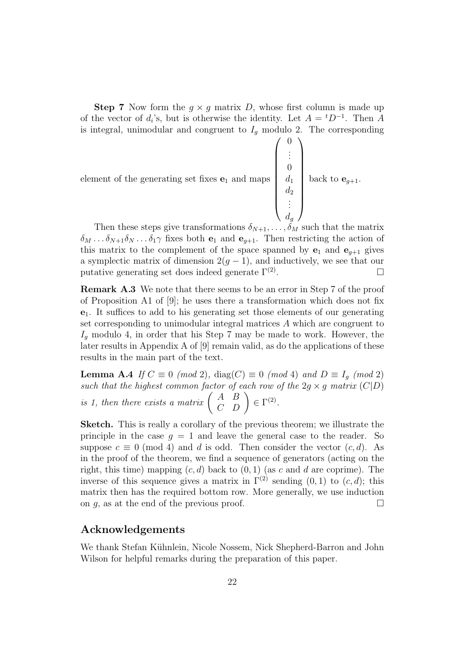**Step 7** Now form the  $q \times q$  matrix D, whose first column is made up of the vector of  $d_i$ 's, but is otherwise the identity. Let  $A = {}^{t}D^{-1}$ . Then A is integral, unimodular and congruent to  $I_g$  modulo 2. The corresponding

element of the generating set fixes 
$$
\mathbf{e}_1
$$
 and maps 
$$
\begin{pmatrix} 0 \\ \vdots \\ 0 \\ d_1 \\ d_2 \\ \vdots \\ d_g \end{pmatrix}
$$
 back to  $\mathbf{e}_{g+1}$ .

Then these steps give transformations  $\delta_{N+1}, \ldots, \delta_M$  such that the matrix  $\delta_M \dots \delta_{N+1} \delta_N \dots \delta_1 \gamma$  fixes both  $e_1$  and  $e_{q+1}$ . Then restricting the action of this matrix to the complement of the space spanned by  $e_1$  and  $e_{g+1}$  gives a symplectic matrix of dimension  $2(q-1)$ , and inductively, we see that our putative generating set does indeed generate  $\Gamma^{(2)}$ . . The contract of the contract of  $\Box$ 

Remark A.3 We note that there seems to be an error in Step 7 of the proof of Proposition A1 of [9]; he uses there a transformation which does not fix  $e_1$ . It suffices to add to his generating set those elements of our generating set corresponding to unimodular integral matrices A which are congruent to  $I<sub>g</sub>$  modulo 4, in order that his Step 7 may be made to work. However, the later results in Appendix A of [9] remain valid, as do the applications of these results in the main part of the text.

**Lemma A.4** If  $C \equiv 0 \pmod{2}$ , diag(C)  $\equiv 0 \pmod{4}$  and  $D \equiv I_g \pmod{2}$ such that the highest common factor of each row of the  $2g \times g$  matrix  $(C|D)$ such that the highest common factor of<br>is 1, then there exists a matrix  $\begin{pmatrix} A & B \\ C & D \end{pmatrix}$ or of each row of<br>  $\left(\begin{array}{cc} A & B \\ C & D \end{array}\right) \in \Gamma^{(2)}.$ 

Sketch. This is really a corollary of the previous theorem; we illustrate the principle in the case  $g = 1$  and leave the general case to the reader. So suppose  $c \equiv 0 \pmod{4}$  and d is odd. Then consider the vector  $(c, d)$ . As in the proof of the theorem, we find a sequence of generators (acting on the right, this time) mapping  $(c, d)$  back to  $(0, 1)$  (as c and d are coprime). The inverse of this sequence gives a matrix in  $\Gamma^{(2)}$  sending  $(0, 1)$  to  $(c, d)$ ; this matrix then has the required bottom row. More generally, we use induction on q, as at the end of the previous proof.  $\Box$ 

### Acknowledgements

We thank Stefan Kühnlein, Nicole Nossem, Nick Shepherd-Barron and John Wilson for helpful remarks during the preparation of this paper.